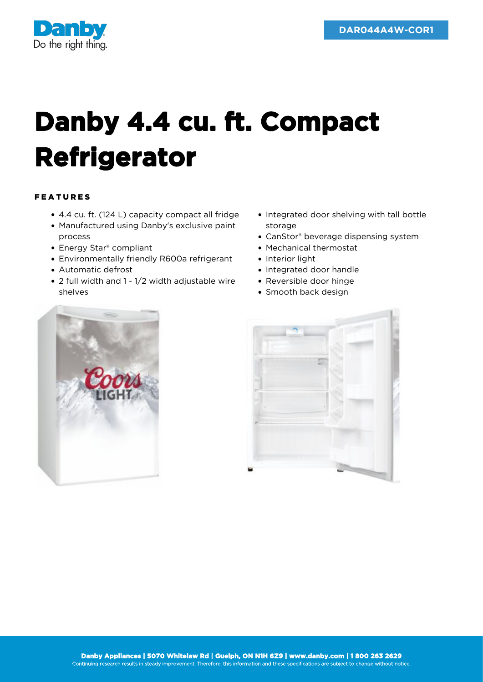

## **Danby 4.4 cu. ft. Compact Refrigerator**

## FEATURES

- 4.4 cu. ft. (124 L) capacity compact all fridge
- Manufactured using Danby's exclusive paint process
- Energy Star<sup>®</sup> compliant
- Environmentally friendly R600a refrigerant
- Automatic defrost
- 2 full width and 1 1/2 width adjustable wire shelves
- Integrated door shelving with tall bottle storage
- CanStor® beverage dispensing system
- Mechanical thermostat
- Interior light
- Integrated door handle
- Reversible door hinge
- Smooth back design